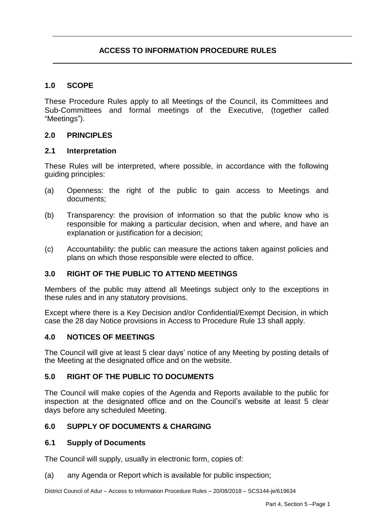# **1.0 SCOPE**

These Procedure Rules apply to all Meetings of the Council, its Committees and Sub-Committees and formal meetings of the Executive, (together called "Meetings").

### **2.0 PRINCIPLES**

#### **2.1 Interpretation**

These Rules will be interpreted, where possible, in accordance with the following guiding principles:

- (a) Openness: the right of the public to gain access to Meetings and documents;
- (b) Transparency: the provision of information so that the public know who is responsible for making a particular decision, when and where, and have an explanation or justification for a decision;
- (c) Accountability: the public can measure the actions taken against policies and plans on which those responsible were elected to office.

### **3.0 RIGHT OF THE PUBLIC TO ATTEND MEETINGS**

Members of the public may attend all Meetings subject only to the exceptions in these rules and in any statutory provisions.

Except where there is a Key Decision and/or Confidential/Exempt Decision, in which case the 28 day Notice provisions in Access to Procedure Rule 13 shall apply.

### **4.0 NOTICES OF MEETINGS**

The Council will give at least 5 clear days' notice of any Meeting by posting details of the Meeting at the designated office and on the website.

### **5.0 RIGHT OF THE PUBLIC TO DOCUMENTS**

The Council will make copies of the Agenda and Reports available to the public for inspection at the designated office and on the Council's website at least 5 clear days before any scheduled Meeting.

### **6.0 SUPPLY OF DOCUMENTS & CHARGING**

#### **6.1 Supply of Documents**

The Council will supply, usually in electronic form, copies of:

(a) any Agenda or Report which is available for public inspection;

District Council of Adur – Access to Information Procedure Rules – 20/08/2018 – SCS144-je/619634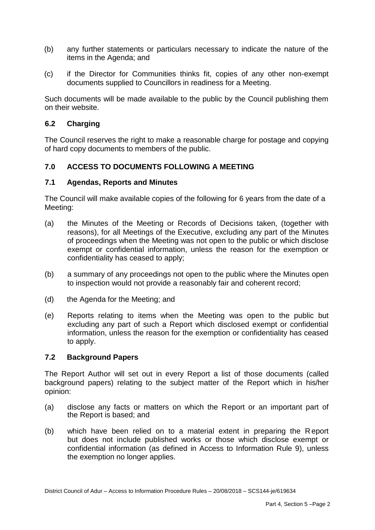- (b) any further statements or particulars necessary to indicate the nature of the items in the Agenda; and
- (c) if the Director for Communities thinks fit, copies of any other non-exempt documents supplied to Councillors in readiness for a Meeting.

Such documents will be made available to the public by the Council publishing them on their website.

### **6.2 Charging**

The Council reserves the right to make a reasonable charge for postage and copying of hard copy documents to members of the public.

## **7.0 ACCESS TO DOCUMENTS FOLLOWING A MEETING**

#### **7.1 Agendas, Reports and Minutes**

The Council will make available copies of the following for 6 years from the date of a Meeting:

- (a) the Minutes of the Meeting or Records of Decisions taken, (together with reasons), for all Meetings of the Executive, excluding any part of the Minutes of proceedings when the Meeting was not open to the public or which disclose exempt or confidential information, unless the reason for the exemption or confidentiality has ceased to apply;
- (b) a summary of any proceedings not open to the public where the Minutes open to inspection would not provide a reasonably fair and coherent record;
- (d) the Agenda for the Meeting; and
- (e) Reports relating to items when the Meeting was open to the public but excluding any part of such a Report which disclosed exempt or confidential information, unless the reason for the exemption or confidentiality has ceased to apply.

#### **7.2 Background Papers**

The Report Author will set out in every Report a list of those documents (called background papers) relating to the subject matter of the Report which in his/her opinion:

- (a) disclose any facts or matters on which the Report or an important part of the Report is based; and
- (b) which have been relied on to a material extent in preparing the R eport but does not include published works or those which disclose exempt or confidential information (as defined in Access to Information Rule 9), unless the exemption no longer applies.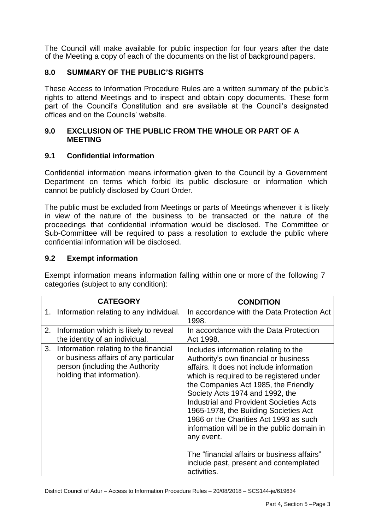The Council will make available for public inspection for four years after the date of the Meeting a copy of each of the documents on the list of background papers.

# **8.0 SUMMARY OF THE PUBLIC'S RIGHTS**

These Access to Information Procedure Rules are a written summary of the public's rights to attend Meetings and to inspect and obtain copy documents. These form part of the Council's Constitution and are available at the Council's designated offices and on the Councils' website.

### **9.0 EXCLUSION OF THE PUBLIC FROM THE WHOLE OR PART OF A MEETING**

### **9.1 Confidential information**

Confidential information means information given to the Council by a Government Department on terms which forbid its public disclosure or information which cannot be publicly disclosed by Court Order.

The public must be excluded from Meetings or parts of Meetings whenever it is likely in view of the nature of the business to be transacted or the nature of the proceedings that confidential information would be disclosed. The Committee or Sub-Committee will be required to pass a resolution to exclude the public where confidential information will be disclosed.

### **9.2 Exempt information**

Exempt information means information falling within one or more of the following 7 categories (subject to any condition):

|    | <b>CATEGORY</b>                                                                                                                                 | <b>CONDITION</b>                                                                                                                                                                                                                                                                                                                                                                                                                                                                                                                                           |
|----|-------------------------------------------------------------------------------------------------------------------------------------------------|------------------------------------------------------------------------------------------------------------------------------------------------------------------------------------------------------------------------------------------------------------------------------------------------------------------------------------------------------------------------------------------------------------------------------------------------------------------------------------------------------------------------------------------------------------|
|    | 1. Information relating to any individual.                                                                                                      | In accordance with the Data Protection Act<br>1998.                                                                                                                                                                                                                                                                                                                                                                                                                                                                                                        |
| 2. | Information which is likely to reveal<br>the identity of an individual.                                                                         | In accordance with the Data Protection<br>Act 1998.                                                                                                                                                                                                                                                                                                                                                                                                                                                                                                        |
| 3. | Information relating to the financial<br>or business affairs of any particular<br>person (including the Authority<br>holding that information). | Includes information relating to the<br>Authority's own financial or business<br>affairs. It does not include information<br>which is required to be registered under<br>the Companies Act 1985, the Friendly<br>Society Acts 1974 and 1992, the<br><b>Industrial and Provident Societies Acts</b><br>1965-1978, the Building Societies Act<br>1986 or the Charities Act 1993 as such<br>information will be in the public domain in<br>any event.<br>The "financial affairs or business affairs"<br>include past, present and contemplated<br>activities. |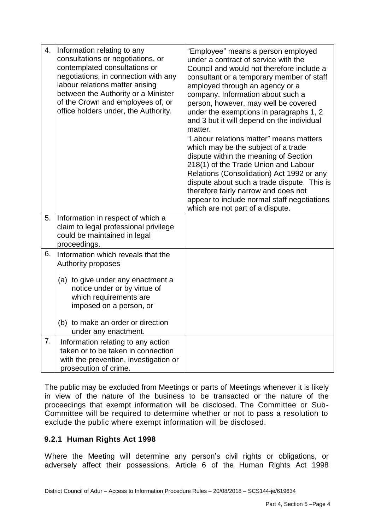| 4. | Information relating to any<br>consultations or negotiations, or<br>contemplated consultations or<br>negotiations, in connection with any<br>labour relations matter arising<br>between the Authority or a Minister<br>of the Crown and employees of, or<br>office holders under, the Authority. | "Employee" means a person employed<br>under a contract of service with the<br>Council and would not therefore include a<br>consultant or a temporary member of staff<br>employed through an agency or a<br>company. Information about such a<br>person, however, may well be covered<br>under the exemptions in paragraphs 1, 2<br>and 3 but it will depend on the individual<br>matter.<br>"Labour relations matter" means matters<br>which may be the subject of a trade<br>dispute within the meaning of Section<br>218(1) of the Trade Union and Labour<br>Relations (Consolidation) Act 1992 or any<br>dispute about such a trade dispute. This is<br>therefore fairly narrow and does not<br>appear to include normal staff negotiations<br>which are not part of a dispute. |
|----|--------------------------------------------------------------------------------------------------------------------------------------------------------------------------------------------------------------------------------------------------------------------------------------------------|------------------------------------------------------------------------------------------------------------------------------------------------------------------------------------------------------------------------------------------------------------------------------------------------------------------------------------------------------------------------------------------------------------------------------------------------------------------------------------------------------------------------------------------------------------------------------------------------------------------------------------------------------------------------------------------------------------------------------------------------------------------------------------|
| 5. | Information in respect of which a<br>claim to legal professional privilege<br>could be maintained in legal<br>proceedings.                                                                                                                                                                       |                                                                                                                                                                                                                                                                                                                                                                                                                                                                                                                                                                                                                                                                                                                                                                                    |
| 6. | Information which reveals that the<br>Authority proposes<br>(a) to give under any enactment a<br>notice under or by virtue of<br>which requirements are<br>imposed on a person, or<br>(b) to make an order or direction<br>under any enactment.                                                  |                                                                                                                                                                                                                                                                                                                                                                                                                                                                                                                                                                                                                                                                                                                                                                                    |
| 7. | Information relating to any action<br>taken or to be taken in connection<br>with the prevention, investigation or<br>prosecution of crime.                                                                                                                                                       |                                                                                                                                                                                                                                                                                                                                                                                                                                                                                                                                                                                                                                                                                                                                                                                    |

The public may be excluded from Meetings or parts of Meetings whenever it is likely in view of the nature of the business to be transacted or the nature of the proceedings that exempt information will be disclosed. The Committee or Sub-Committee will be required to determine whether or not to pass a resolution to exclude the public where exempt information will be disclosed.

# **9.2.1 Human Rights Act 1998**

Where the Meeting will determine any person's civil rights or obligations, or adversely affect their possessions, Article 6 of the Human Rights Act 1998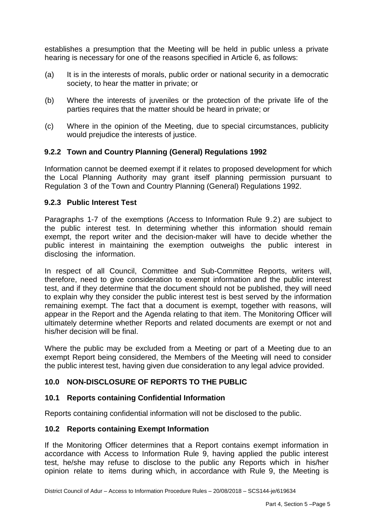establishes a presumption that the Meeting will be held in public unless a private hearing is necessary for one of the reasons specified in Article 6, as follows:

- (a) It is in the interests of morals, public order or national security in a democratic society, to hear the matter in private; or
- (b) Where the interests of juveniles or the protection of the private life of the parties requires that the matter should be heard in private; or
- (c) Where in the opinion of the Meeting, due to special circumstances, publicity would prejudice the interests of justice.

## **9.2.2 Town and Country Planning (General) Regulations 1992**

Information cannot be deemed exempt if it relates to proposed development for which the Local Planning Authority may grant itself planning permission pursuant to Regulation 3 of the Town and Country Planning (General) Regulations 1992.

### **9.2.3 Public Interest Test**

Paragraphs 1-7 of the exemptions (Access to Information Rule 9.2) are subject to the public interest test. In determining whether this information should remain exempt, the report writer and the decision-maker will have to decide whether the public interest in maintaining the exemption outweighs the public interest in disclosing the information.

In respect of all Council, Committee and Sub-Committee Reports, writers will, therefore, need to give consideration to exempt information and the public interest test, and if they determine that the document should not be published, they will need to explain why they consider the public interest test is best served by the information remaining exempt. The fact that a document is exempt, together with reasons, will appear in the Report and the Agenda relating to that item. The Monitoring Officer will ultimately determine whether Reports and related documents are exempt or not and his/her decision will be final.

Where the public may be excluded from a Meeting or part of a Meeting due to an exempt Report being considered, the Members of the Meeting will need to consider the public interest test, having given due consideration to any legal advice provided.

# **10.0 NON-DISCLOSURE OF REPORTS TO THE PUBLIC**

### **10.1 Reports containing Confidential Information**

Reports containing confidential information will not be disclosed to the public.

### **10.2 Reports containing Exempt Information**

If the Monitoring Officer determines that a Report contains exempt information in accordance with Access to Information Rule 9, having applied the public interest test, he/she may refuse to disclose to the public any Reports which in his/her opinion relate to items during which, in accordance with Rule 9, the Meeting is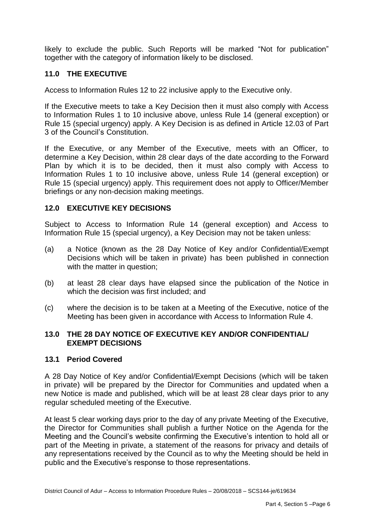likely to exclude the public. Such Reports will be marked "Not for publication" together with the category of information likely to be disclosed.

# **11.0 THE EXECUTIVE**

Access to Information Rules 12 to 22 inclusive apply to the Executive only.

If the Executive meets to take a Key Decision then it must also comply with Access to Information Rules 1 to 10 inclusive above, unless Rule 14 (general exception) or Rule 15 (special urgency) apply. A Key Decision is as defined in Article 12.03 of Part 3 of the Council's Constitution.

If the Executive, or any Member of the Executive, meets with an Officer, to determine a Key Decision, within 28 clear days of the date according to the Forward Plan by which it is to be decided, then it must also comply with Access to Information Rules 1 to 10 inclusive above, unless Rule 14 (general exception) or Rule 15 (special urgency) apply. This requirement does not apply to Officer/Member briefings or any non-decision making meetings.

### **12.0 EXECUTIVE KEY DECISIONS**

Subject to Access to Information Rule 14 (general exception) and Access to Information Rule 15 (special urgency), a Key Decision may not be taken unless:

- (a) a Notice (known as the 28 Day Notice of Key and/or Confidential/Exempt Decisions which will be taken in private) has been published in connection with the matter in question;
- (b) at least 28 clear days have elapsed since the publication of the Notice in which the decision was first included; and
- (c) where the decision is to be taken at a Meeting of the Executive, notice of the Meeting has been given in accordance with Access to Information Rule 4.

### **13.0 THE 28 DAY NOTICE OF EXECUTIVE KEY AND/OR CONFIDENTIAL/ EXEMPT DECISIONS**

#### **13.1 Period Covered**

A 28 Day Notice of Key and/or Confidential/Exempt Decisions (which will be taken in private) will be prepared by the Director for Communities and updated when a new Notice is made and published, which will be at least 28 clear days prior to any regular scheduled meeting of the Executive.

At least 5 clear working days prior to the day of any private Meeting of the Executive, the Director for Communities shall publish a further Notice on the Agenda for the Meeting and the Council's website confirming the Executive's intention to hold all or part of the Meeting in private, a statement of the reasons for privacy and details of any representations received by the Council as to why the Meeting should be held in public and the Executive's response to those representations.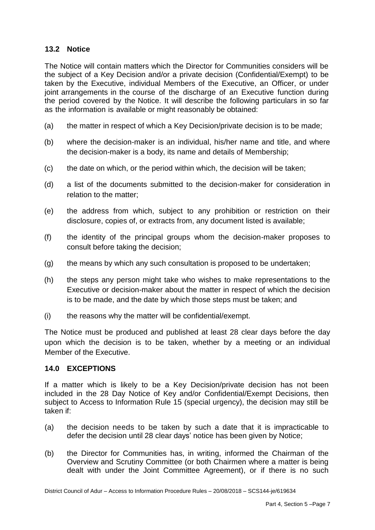## **13.2 Notice**

The Notice will contain matters which the Director for Communities considers will be the subject of a Key Decision and/or a private decision (Confidential/Exempt) to be taken by the Executive, individual Members of the Executive, an Officer, or under joint arrangements in the course of the discharge of an Executive function during the period covered by the Notice. It will describe the following particulars in so far as the information is available or might reasonably be obtained:

- (a) the matter in respect of which a Key Decision/private decision is to be made;
- (b) where the decision-maker is an individual, his/her name and title, and where the decision-maker is a body, its name and details of Membership;
- (c) the date on which, or the period within which, the decision will be taken;
- (d) a list of the documents submitted to the decision-maker for consideration in relation to the matter;
- (e) the address from which, subject to any prohibition or restriction on their disclosure, copies of, or extracts from, any document listed is available;
- (f) the identity of the principal groups whom the decision-maker proposes to consult before taking the decision;
- (g) the means by which any such consultation is proposed to be undertaken;
- (h) the steps any person might take who wishes to make representations to the Executive or decision-maker about the matter in respect of which the decision is to be made, and the date by which those steps must be taken; and
- (i) the reasons why the matter will be confidential/exempt.

The Notice must be produced and published at least 28 clear days before the day upon which the decision is to be taken, whether by a meeting or an individual Member of the Executive.

### **14.0 EXCEPTIONS**

If a matter which is likely to be a Key Decision/private decision has not been included in the 28 Day Notice of Key and/or Confidential/Exempt Decisions, then subject to Access to Information Rule 15 (special urgency), the decision may still be taken if:

- (a) the decision needs to be taken by such a date that it is impracticable to defer the decision until 28 clear days' notice has been given by Notice;
- (b) the Director for Communities has, in writing, informed the Chairman of the Overview and Scrutiny Committee (or both Chairmen where a matter is being dealt with under the Joint Committee Agreement), or if there is no such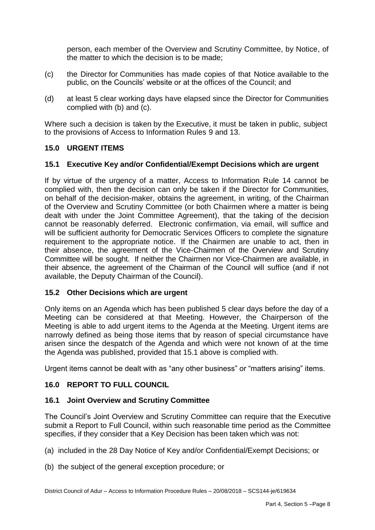person, each member of the Overview and Scrutiny Committee, by Notice, of the matter to which the decision is to be made;

- (c) the Director for Communities has made copies of that Notice available to the public, on the Councils' website or at the offices of the Council; and
- (d) at least 5 clear working days have elapsed since the Director for Communities complied with (b) and (c).

Where such a decision is taken by the Executive, it must be taken in public, subject to the provisions of Access to Information Rules 9 and 13.

## **15.0 URGENT ITEMS**

### **15.1 Executive Key and/or Confidential/Exempt Decisions which are urgent**

If by virtue of the urgency of a matter, Access to Information Rule 14 cannot be complied with, then the decision can only be taken if the Director for Communities, on behalf of the decision-maker, obtains the agreement, in writing, of the Chairman of the Overview and Scrutiny Committee (or both Chairmen where a matter is being dealt with under the Joint Committee Agreement), that the taking of the decision cannot be reasonably deferred. Electronic confirmation, via email, will suffice and will be sufficient authority for Democratic Services Officers to complete the signature requirement to the appropriate notice. If the Chairmen are unable to act, then in their absence, the agreement of the Vice-Chairmen of the Overview and Scrutiny Committee will be sought. If neither the Chairmen nor Vice-Chairmen are available, in their absence, the agreement of the Chairman of the Council will suffice (and if not available, the Deputy Chairman of the Council).

### **15.2 Other Decisions which are urgent**

Only items on an Agenda which has been published 5 clear days before the day of a Meeting can be considered at that Meeting. However, the Chairperson of the Meeting is able to add urgent items to the Agenda at the Meeting. Urgent items are narrowly defined as being those items that by reason of special circumstance have arisen since the despatch of the Agenda and which were not known of at the time the Agenda was published, provided that 15.1 above is complied with.

Urgent items cannot be dealt with as "any other business" or "matters arising" items.

### **16.0 REPORT TO FULL COUNCIL**

### **16.1 Joint Overview and Scrutiny Committee**

The Council's Joint Overview and Scrutiny Committee can require that the Executive submit a Report to Full Council, within such reasonable time period as the Committee specifies, if they consider that a Key Decision has been taken which was not:

- (a) included in the 28 Day Notice of Key and/or Confidential/Exempt Decisions; or
- (b) the subject of the general exception procedure; or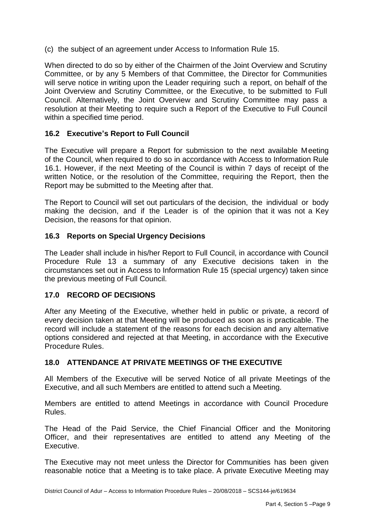(c) the subject of an agreement under Access to Information Rule 15.

When directed to do so by either of the Chairmen of the Joint Overview and Scrutiny Committee, or by any 5 Members of that Committee, the Director for Communities will serve notice in writing upon the Leader requiring such a report, on behalf of the Joint Overview and Scrutiny Committee, or the Executive, to be submitted to Full Council. Alternatively, the Joint Overview and Scrutiny Committee may pass a resolution at their Meeting to require such a Report of the Executive to Full Council within a specified time period.

# **16.2 Executive's Report to Full Council**

The Executive will prepare a Report for submission to the next available Meeting of the Council, when required to do so in accordance with Access to Information Rule 16.1. However, if the next Meeting of the Council is within 7 days of receipt of the written Notice, or the resolution of the Committee, requiring the Report, then the Report may be submitted to the Meeting after that.

The Report to Council will set out particulars of the decision, the individual or body making the decision, and if the Leader is of the opinion that it was not a Key Decision, the reasons for that opinion.

### **16.3 Reports on Special Urgency Decisions**

The Leader shall include in his/her Report to Full Council, in accordance with Council Procedure Rule 13 a summary of any Executive decisions taken in the circumstances set out in Access to Information Rule 15 (special urgency) taken since the previous meeting of Full Council.

### **17.0 RECORD OF DECISIONS**

After any Meeting of the Executive, whether held in public or private, a record of every decision taken at that Meeting will be produced as soon as is practicable. The record will include a statement of the reasons for each decision and any alternative options considered and rejected at that Meeting, in accordance with the Executive Procedure Rules.

### **18.0 ATTENDANCE AT PRIVATE MEETINGS OF THE EXECUTIVE**

All Members of the Executive will be served Notice of all private Meetings of the Executive, and all such Members are entitled to attend such a Meeting.

Members are entitled to attend Meetings in accordance with Council Procedure Rules.

The Head of the Paid Service, the Chief Financial Officer and the Monitoring Officer, and their representatives are entitled to attend any Meeting of the Executive.

The Executive may not meet unless the Director for Communities has been given reasonable notice that a Meeting is to take place. A private Executive Meeting may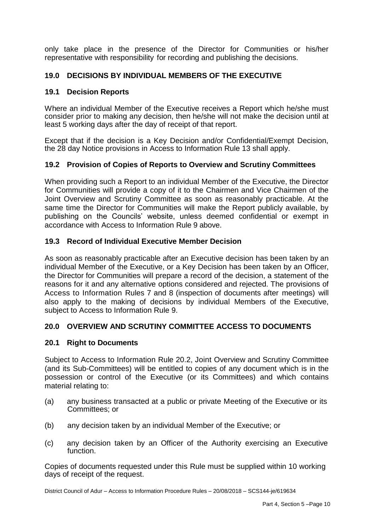only take place in the presence of the Director for Communities or his/her representative with responsibility for recording and publishing the decisions.

# **19.0 DECISIONS BY INDIVIDUAL MEMBERS OF THE EXECUTIVE**

### **19.1 Decision Reports**

Where an individual Member of the Executive receives a Report which he/she must consider prior to making any decision, then he/she will not make the decision until at least 5 working days after the day of receipt of that report.

Except that if the decision is a Key Decision and/or Confidential/Exempt Decision, the 28 day Notice provisions in Access to Information Rule 13 shall apply.

## **19.2 Provision of Copies of Reports to Overview and Scrutiny Committees**

When providing such a Report to an individual Member of the Executive, the Director for Communities will provide a copy of it to the Chairmen and Vice Chairmen of the Joint Overview and Scrutiny Committee as soon as reasonably practicable. At the same time the Director for Communities will make the Report publicly available, by publishing on the Councils' website, unless deemed confidential or exempt in accordance with Access to Information Rule 9 above.

## **19.3 Record of Individual Executive Member Decision**

As soon as reasonably practicable after an Executive decision has been taken by an individual Member of the Executive, or a Key Decision has been taken by an Officer, the Director for Communities will prepare a record of the decision, a statement of the reasons for it and any alternative options considered and rejected. The provisions of Access to Information Rules 7 and 8 (inspection of documents after meetings) will also apply to the making of decisions by individual Members of the Executive, subject to Access to Information Rule 9.

### **20.0 OVERVIEW AND SCRUTINY COMMITTEE ACCESS TO DOCUMENTS**

### **20.1 Right to Documents**

Subject to Access to Information Rule 20.2, Joint Overview and Scrutiny Committee (and its Sub-Committees) will be entitled to copies of any document which is in the possession or control of the Executive (or its Committees) and which contains material relating to:

- (a) any business transacted at a public or private Meeting of the Executive or its Committees; or
- (b) any decision taken by an individual Member of the Executive; or
- (c) any decision taken by an Officer of the Authority exercising an Executive function.

Copies of documents requested under this Rule must be supplied within 10 working days of receipt of the request.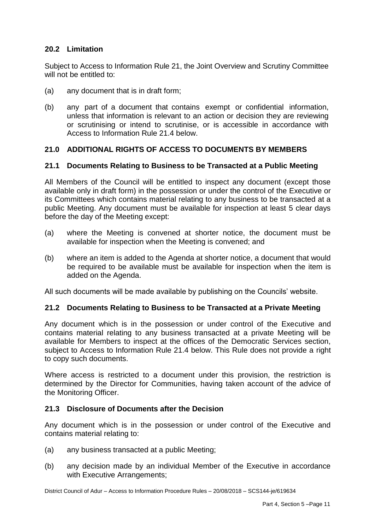# **20.2 Limitation**

Subject to Access to Information Rule 21, the Joint Overview and Scrutiny Committee will not be entitled to:

- (a) any document that is in draft form;
- (b) any part of a document that contains exempt or confidential information, unless that information is relevant to an action or decision they are reviewing or scrutinising or intend to scrutinise, or is accessible in accordance with Access to Information Rule 21.4 below.

### **21.0 ADDITIONAL RIGHTS OF ACCESS TO DOCUMENTS BY MEMBERS**

#### **21.1 Documents Relating to Business to be Transacted at a Public Meeting**

All Members of the Council will be entitled to inspect any document (except those available only in draft form) in the possession or under the control of the Executive or its Committees which contains material relating to any business to be transacted at a public Meeting. Any document must be available for inspection at least 5 clear days before the day of the Meeting except:

- (a) where the Meeting is convened at shorter notice, the document must be available for inspection when the Meeting is convened; and
- (b) where an item is added to the Agenda at shorter notice, a document that would be required to be available must be available for inspection when the item is added on the Agenda.

All such documents will be made available by publishing on the Councils' website.

### **21.2 Documents Relating to Business to be Transacted at a Private Meeting**

Any document which is in the possession or under control of the Executive and contains material relating to any business transacted at a private Meeting will be available for Members to inspect at the offices of the Democratic Services section, subject to Access to Information Rule 21.4 below. This Rule does not provide a right to copy such documents.

Where access is restricted to a document under this provision, the restriction is determined by the Director for Communities, having taken account of the advice of the Monitoring Officer.

#### **21.3 Disclosure of Documents after the Decision**

Any document which is in the possession or under control of the Executive and contains material relating to:

- (a) any business transacted at a public Meeting;
- (b) any decision made by an individual Member of the Executive in accordance with Executive Arrangements;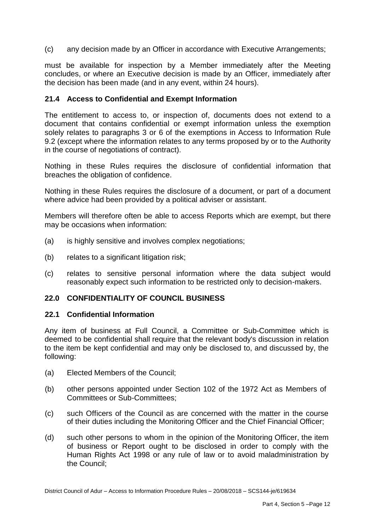(c) any decision made by an Officer in accordance with Executive Arrangements;

must be available for inspection by a Member immediately after the Meeting concludes, or where an Executive decision is made by an Officer, immediately after the decision has been made (and in any event, within 24 hours).

### **21.4 Access to Confidential and Exempt Information**

The entitlement to access to, or inspection of, documents does not extend to a document that contains confidential or exempt information unless the exemption solely relates to paragraphs 3 or 6 of the exemptions in Access to Information Rule 9.2 (except where the information relates to any terms proposed by or to the Authority in the course of negotiations of contract).

Nothing in these Rules requires the disclosure of confidential information that breaches the obligation of confidence.

Nothing in these Rules requires the disclosure of a document, or part of a document where advice had been provided by a political adviser or assistant.

Members will therefore often be able to access Reports which are exempt, but there may be occasions when information:

- (a) is highly sensitive and involves complex negotiations;
- (b) relates to a significant litigation risk;
- (c) relates to sensitive personal information where the data subject would reasonably expect such information to be restricted only to decision-makers.

#### **22.0 CONFIDENTIALITY OF COUNCIL BUSINESS**

#### **22.1 Confidential Information**

Any item of business at Full Council, a Committee or Sub-Committee which is deemed to be confidential shall require that the relevant body's discussion in relation to the item be kept confidential and may only be disclosed to, and discussed by, the following:

- (a) Elected Members of the Council;
- (b) other persons appointed under Section 102 of the 1972 Act as Members of Committees or Sub-Committees;
- (c) such Officers of the Council as are concerned with the matter in the course of their duties including the Monitoring Officer and the Chief Financial Officer;
- (d) such other persons to whom in the opinion of the Monitoring Officer, the item of business or Report ought to be disclosed in order to comply with the Human Rights Act 1998 or any rule of law or to avoid maladministration by the Council;